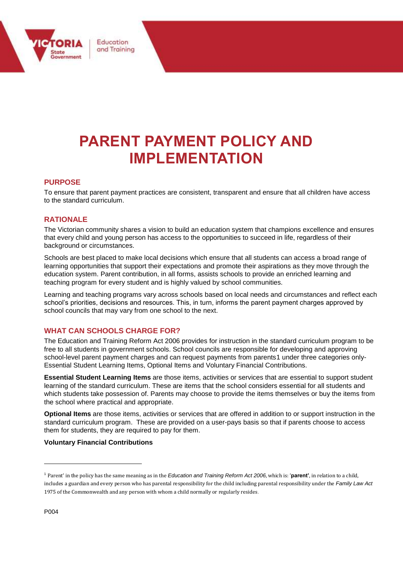

# **PARENT PAYMENT POLICY AND IMPLEMENTATION**

### $PURPOSE$

To ensure that parent payment practices are consistent, transparent and ensure that all children have access to the standard curriculum.

#### **RATIONALE**

The Victorian community shares a vision to build an education system that champions excellence and ensures that every child and young person has access to the opportunities to succeed in life, regardless of their background or circumstances.

Schools are best placed to make local decisions which ensure that all students can access a broad range of learning opportunities that support their expectations and promote their aspirations as they move through the education system. Parent contribution, in all forms, assists schools to provide an enriched learning and teaching program for every student and is highly valued by school communities.

Learning and teaching programs vary across schools based on local needs and circumstances and reflect each school's priorities, decisions and resources. This, in turn, informs the parent payment charges approved by school councils that may vary from one school to the next.

#### **WHAT CAN SCHOOLS CHARGE FOR?**

The Education and Training Reform Act 2006 provides for instruction in the standard curriculum program to be free to all students in government schools. School councils are responsible for developing and approving school-level parent payment charges and can request payments from parents1 under three categories only-Essential Student Learning Items, Optional Items and Voluntary Financial Contributions.

**Essential Student Learning Items** are those items, activities or services that are essential to support student learning of the standard curriculum. These are items that the school considers essential for all students and which students take possession of. Parents may choose to provide the items themselves or buy the items from the school where practical and appropriate.

**Optional Items** are those items, activities or services that are offered in addition to or support instruction in the standard curriculum program. These are provided on a user-pays basis so that if parents choose to access them for students, they are required to pay for them.

#### **Voluntary Financial Contributions**

l

<sup>1</sup> Parent' in the policy has the same meaning as in the *Education and Training Reform Act 2006*, which is: '**parent'**, in relation to a child, includes a guardian and every person who has parental responsibility for the child including parental responsibility under the *Family Law Act*  1975 of the Commonwealth and any person with whom a child normally or regularly resides.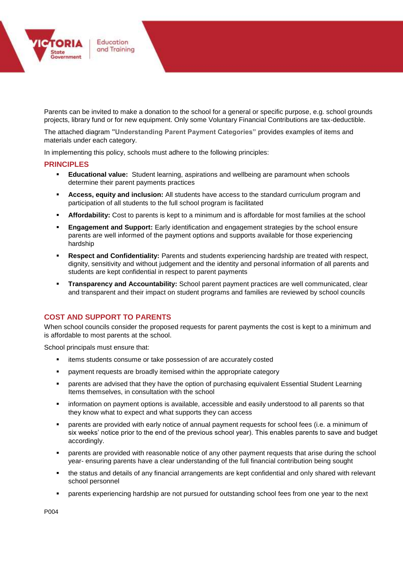

Parents can be invited to make a donation to the school for a general or specific purpose, e.g. school grounds projects, library fund or for new equipment. Only some Voluntary Financial Contributions are tax-deductible.

The attached diagram **"Understanding Parent Payment Categories"** provides examples of items and materials under each category.

In implementing this policy, schools must adhere to the following principles:

#### **PRINCIPLES**

- **Educational value:** Student learning, aspirations and wellbeing are paramount when schools determine their parent payments practices
- **Access, equity and inclusion:** All students have access to the standard curriculum program and participation of all students to the full school program is facilitated
- **Affordability:** Cost to parents is kept to a minimum and is affordable for most families at the school
- **Engagement and Support:** Early identification and engagement strategies by the school ensure parents are well informed of the payment options and supports available for those experiencing hardship
- **Respect and Confidentiality:** Parents and students experiencing hardship are treated with respect, dignity, sensitivity and without judgement and the identity and personal information of all parents and students are kept confidential in respect to parent payments
- **Transparency and Accountability:** School parent payment practices are well communicated, clear and transparent and their impact on student programs and families are reviewed by school councils

#### **COST AND SUPPORT TO PARENTS**

When school councils consider the proposed requests for parent payments the cost is kept to a minimum and is affordable to most parents at the school.

School principals must ensure that:

- items students consume or take possession of are accurately costed
- payment requests are broadly itemised within the appropriate category
- parents are advised that they have the option of purchasing equivalent Essential Student Learning Items themselves, in consultation with the school
- information on payment options is available, accessible and easily understood to all parents so that they know what to expect and what supports they can access
- parents are provided with early notice of annual payment requests for school fees (i.e. a minimum of six weeks' notice prior to the end of the previous school year). This enables parents to save and budget accordingly.
- parents are provided with reasonable notice of any other payment requests that arise during the school year- ensuring parents have a clear understanding of the full financial contribution being sought
- the status and details of any financial arrangements are kept confidential and only shared with relevant school personnel
- parents experiencing hardship are not pursued for outstanding school fees from one year to the next

P004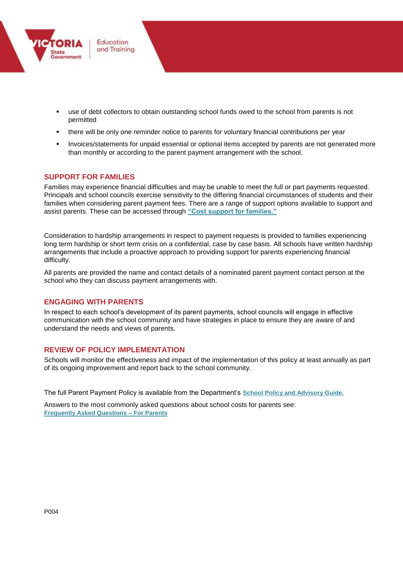

- use of debt collectors to obtain outstanding school funds owed to the school from parents is not permitted
- there will be only one reminder notice to parents for voluntary financial contributions per year
- Invoices/statements for unpaid essential or optional items accepted by parents are not generated more than monthly or according to the parent payment arrangement with the school.

#### **SUPPORT FOR FAMILIES**

Families may experience financial difficulties and may be unable to meet the full or part payments requested. Principals and school councils exercise sensitivity to the differing financial circumstances of students and their families when considering parent payment fees. There are a range of support options available to support and assist parents. These can be accessed through **["Cost support for families."](http://www.education.vic.gov.au/Documents/school/principals/spag/management/PP_Costsupportforfamilies.docx)**

Consideration to hardship arrangements in respect to payment requests is provided to families experiencing long term hardship or short term crisis on a confidential, case by case basis. All schools have written hardship arrangements that include a proactive approach to providing support for parents experiencing financial difficulty.

All parents are provided the name and contact details of a nominated parent payment contact person at the school who they can discuss payment arrangements with.

#### **ENGAGING WITH PARENTS**

In respect to each school's development of its parent payments, school councils will engage in effective communication with the school community and have strategies in place to ensure they are aware of and understand the needs and views of parents.

#### **REVIEW OF POLICY IMPLEMENTATION**

Schools will monitor the effectiveness and impact of the implementation of this policy at least annually as part of its ongoing improvement and report back to the school community.

The full Parent Payment Policy is available from the Department's **[School Policy and Advisory Guide.](http://www.education.vic.gov.au/school/principals/spag/management/pages/parentpayments.aspx)**

Answers to the most commonly asked questions about school costs for parents see: **[Frequently Asked Questions –](http://www.education.vic.gov.au/Documents/school/principals/spag/management/PP_FAQforparents.docx) For Parents**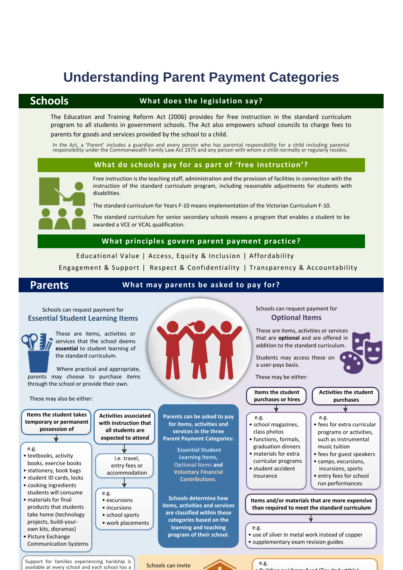# **Understanding Parent Payment Categories**

### **Schools**

#### **What does the legislation say?**

The Education and Training Reform Act (2006) provides for free instruction in the standard curriculum program to all students in government schools. The Act also empowers school councils to charge fees to parents for goods and services provided by the school to a child.

#### **What do schools pay for as part of 'free instruction'?**



Free instruction is the teaching staff, administration and the provision of facilities in connection with the instruction of the standard curriculum program, including reasonable adjustments for students with In the Act, a 'Parent' includes a guardian and every person who has parental responsibility for a child including parental responsibility under the Commonwealth Family Law Act 1975 and any person with whom a child normally

The standard curriculum for Years F-10 means implementation of the Victorian Curriculum F-10.

The standard curriculum for senior secondary schools means a program that enables a student to be awarded a VCE or VCAL qualification.

Educational Value | Access, Equity & Inclusion | Affordability

Engagement & Support <sup>|</sup> Respect & Confidentiality <sup>|</sup> Transparency & Accountability **What principles govern parent payment practice?**

#### **Parents What may parents be asked to pay for?**

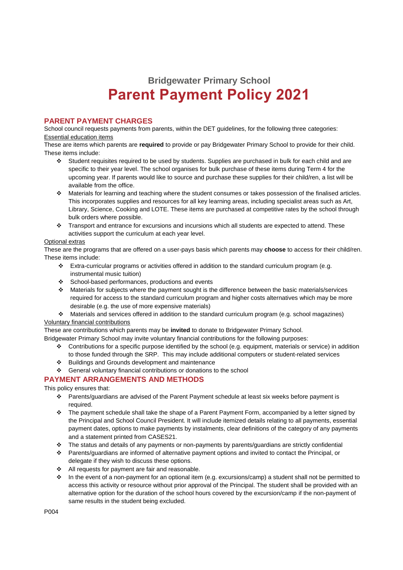## **Bridgewater Primary School Parent Payment Policy 2021**

#### **PARENT PAYMENT CHARGES**

School council requests payments from parents, within the DET guidelines, for the following three categories: Essential education items

These are items which parents are **required** to provide or pay Bridgewater Primary School to provide for their child. These items include:

- Student requisites required to be used by students. Supplies are purchased in bulk for each child and are specific to their year level. The school organises for bulk purchase of these items during Term 4 for the upcoming year. If parents would like to source and purchase these supplies for their child/ren, a list will be available from the office.
- Materials for learning and teaching where the student consumes or takes possession of the finalised articles. This incorporates supplies and resources for all key learning areas, including specialist areas such as Art, Library, Science, Cooking and LOTE. These items are purchased at competitive rates by the school through bulk orders where possible.
- \* Transport and entrance for excursions and incursions which all students are expected to attend. These activities support the curriculum at each year level.

#### Optional extras

These are the programs that are offered on a user-pays basis which parents may **choose** to access for their child/ren. These items include:

- $\cdot \cdot$  Extra-curricular programs or activities offered in addition to the standard curriculum program (e.g. instrumental music tuition)
- School-based performances, productions and events
- Materials for subjects where the payment sought is the difference between the basic materials/services required for access to the standard curriculum program and higher costs alternatives which may be more desirable (e.g. the use of more expensive materials)
- Materials and services offered in addition to the standard curriculum program (e.g. school magazines) Voluntary financial contributions

These are contributions which parents may be **invited** to donate to Bridgewater Primary School.

Bridgewater Primary School may invite voluntary financial contributions for the following purposes:

- Contributions for a specific purpose identified by the school (e.g. equipment, materials or service) in addition to those funded through the SRP. This may include additional computers or student-related services
- Buildings and Grounds development and maintenance
- General voluntary financial contributions or donations to the school

#### **PAYMENT ARRANGEMENTS AND METHODS**

This policy ensures that:

- Parents/guardians are advised of the Parent Payment schedule at least six weeks before payment is required.
- The payment schedule shall take the shape of a Parent Payment Form, accompanied by a letter signed by the Principal and School Council President. It will include itemized details relating to all payments, essential payment dates, options to make payments by instalments, clear definitions of the category of any payments and a statement printed from CASES21.
- The status and details of any payments or non-payments by parents/guardians are strictly confidential
- Parents/guardians are informed of alternative payment options and invited to contact the Principal, or delegate if they wish to discuss these options.
- $\div$  All requests for payment are fair and reasonable.
- In the event of a non-payment for an optional item (e.g. excursions/camp) a student shall not be permitted to access this activity or resource without prior approval of the Principal. The student shall be provided with an alternative option for the duration of the school hours covered by the excursion/camp if the non-payment of same results in the student being excluded.